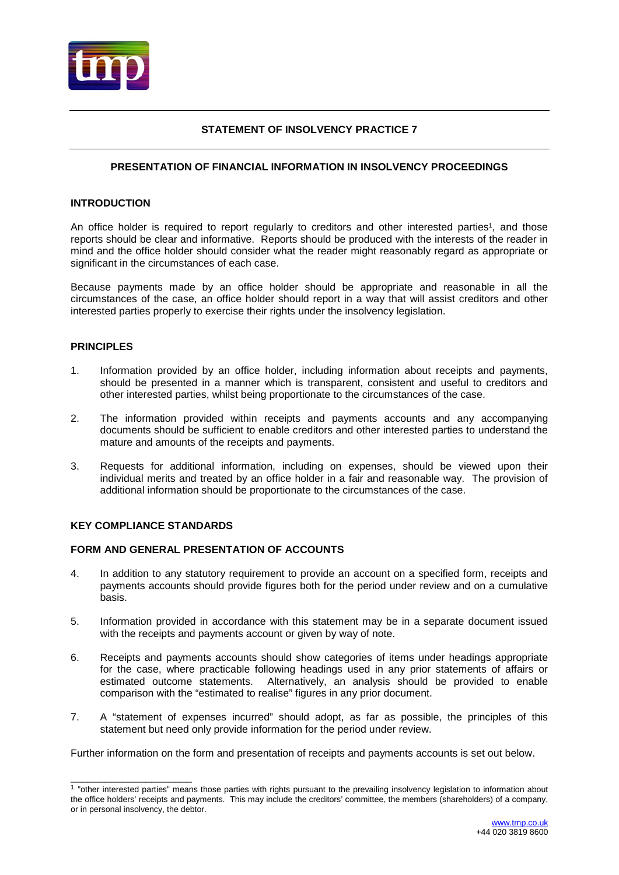

# **STATEMENT OF INSOLVENCY PRACTICE 7**

# **PRESENTATION OF FINANCIAL INFORMATION IN INSOLVENCY PROCEEDINGS**

### **INTRODUCTION**

An office holder is required to report reqularly to creditors and other interested parties<sup>1</sup>, and those reports should be clear and informative. Reports should be produced with the interests of the reader in mind and the office holder should consider what the reader might reasonably regard as appropriate or significant in the circumstances of each case.

Because payments made by an office holder should be appropriate and reasonable in all the circumstances of the case, an office holder should report in a way that will assist creditors and other interested parties properly to exercise their rights under the insolvency legislation.

## **PRINCIPLES**

- 1. Information provided by an office holder, including information about receipts and payments, should be presented in a manner which is transparent, consistent and useful to creditors and other interested parties, whilst being proportionate to the circumstances of the case.
- 2. The information provided within receipts and payments accounts and any accompanying documents should be sufficient to enable creditors and other interested parties to understand the mature and amounts of the receipts and payments.
- 3. Requests for additional information, including on expenses, should be viewed upon their individual merits and treated by an office holder in a fair and reasonable way. The provision of additional information should be proportionate to the circumstances of the case.

### **KEY COMPLIANCE STANDARDS**

\_\_\_\_\_\_\_\_\_\_\_\_\_\_\_\_\_\_\_\_\_

### **FORM AND GENERAL PRESENTATION OF ACCOUNTS**

- 4. In addition to any statutory requirement to provide an account on a specified form, receipts and payments accounts should provide figures both for the period under review and on a cumulative basis.
- 5. Information provided in accordance with this statement may be in a separate document issued with the receipts and payments account or given by way of note.
- 6. Receipts and payments accounts should show categories of items under headings appropriate for the case, where practicable following headings used in any prior statements of affairs or Alternatively, an analysis should be provided to enable comparison with the "estimated to realise" figures in any prior document.
- 7. A "statement of expenses incurred" should adopt, as far as possible, the principles of this statement but need only provide information for the period under review.

Further information on the form and presentation of receipts and payments accounts is set out below.

<sup>&</sup>lt;sup>1</sup> "other interested parties" means those parties with rights pursuant to the prevailing insolvency legislation to information about the office holders' receipts and payments. This may include the creditors' committee, the members (shareholders) of a company, or in personal insolvency, the debtor.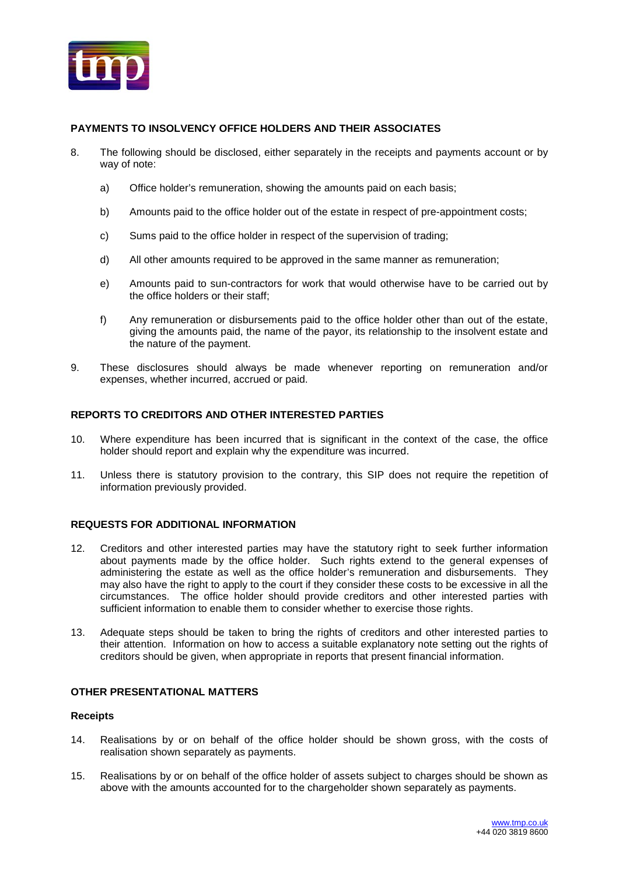

# **PAYMENTS TO INSOLVENCY OFFICE HOLDERS AND THEIR ASSOCIATES**

- 8. The following should be disclosed, either separately in the receipts and payments account or by way of note:
	- a) Office holder's remuneration, showing the amounts paid on each basis;
	- b) Amounts paid to the office holder out of the estate in respect of pre-appointment costs;
	- c) Sums paid to the office holder in respect of the supervision of trading;
	- d) All other amounts required to be approved in the same manner as remuneration;
	- e) Amounts paid to sun-contractors for work that would otherwise have to be carried out by the office holders or their staff;
	- f) Any remuneration or disbursements paid to the office holder other than out of the estate, giving the amounts paid, the name of the payor, its relationship to the insolvent estate and the nature of the payment.
- 9. These disclosures should always be made whenever reporting on remuneration and/or expenses, whether incurred, accrued or paid.

## **REPORTS TO CREDITORS AND OTHER INTERESTED PARTIES**

- 10. Where expenditure has been incurred that is significant in the context of the case, the office holder should report and explain why the expenditure was incurred.
- 11. Unless there is statutory provision to the contrary, this SIP does not require the repetition of information previously provided.

# **REQUESTS FOR ADDITIONAL INFORMATION**

- 12. Creditors and other interested parties may have the statutory right to seek further information about payments made by the office holder. Such rights extend to the general expenses of administering the estate as well as the office holder's remuneration and disbursements. They may also have the right to apply to the court if they consider these costs to be excessive in all the circumstances. The office holder should provide creditors and other interested parties with sufficient information to enable them to consider whether to exercise those rights.
- 13. Adequate steps should be taken to bring the rights of creditors and other interested parties to their attention. Information on how to access a suitable explanatory note setting out the rights of creditors should be given, when appropriate in reports that present financial information.

# **OTHER PRESENTATIONAL MATTERS**

### **Receipts**

- 14. Realisations by or on behalf of the office holder should be shown gross, with the costs of realisation shown separately as payments.
- 15. Realisations by or on behalf of the office holder of assets subject to charges should be shown as above with the amounts accounted for to the chargeholder shown separately as payments.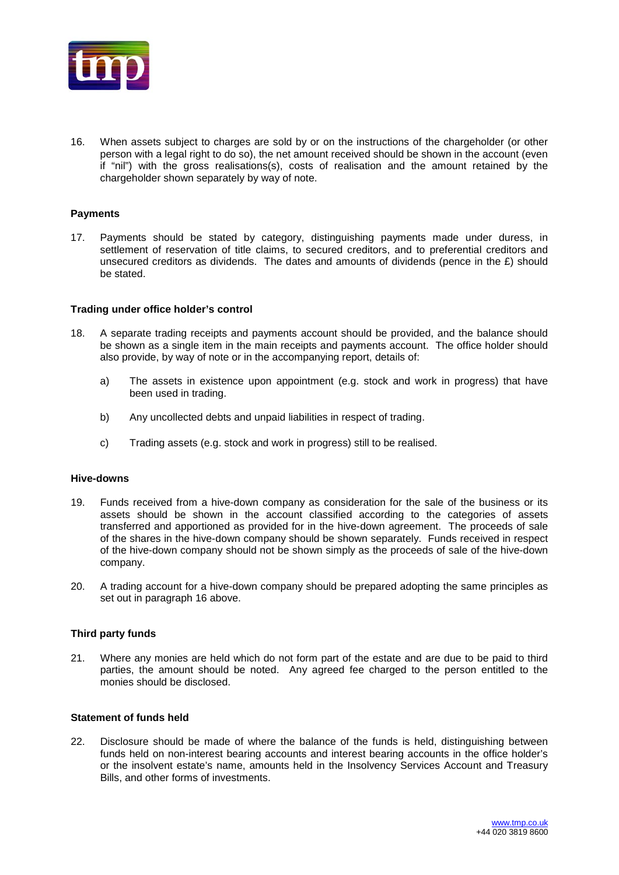

16. When assets subject to charges are sold by or on the instructions of the chargeholder (or other person with a legal right to do so), the net amount received should be shown in the account (even if "nil") with the gross realisations(s), costs of realisation and the amount retained by the chargeholder shown separately by way of note.

## **Payments**

17. Payments should be stated by category, distinguishing payments made under duress, in settlement of reservation of title claims, to secured creditors, and to preferential creditors and unsecured creditors as dividends. The dates and amounts of dividends (pence in the  $E$ ) should be stated.

### **Trading under office holder's control**

- 18. A separate trading receipts and payments account should be provided, and the balance should be shown as a single item in the main receipts and payments account. The office holder should also provide, by way of note or in the accompanying report, details of:
	- a) The assets in existence upon appointment (e.g. stock and work in progress) that have been used in trading.
	- b) Any uncollected debts and unpaid liabilities in respect of trading.
	- c) Trading assets (e.g. stock and work in progress) still to be realised.

### **Hive-downs**

- 19. Funds received from a hive-down company as consideration for the sale of the business or its assets should be shown in the account classified according to the categories of assets transferred and apportioned as provided for in the hive-down agreement. The proceeds of sale of the shares in the hive-down company should be shown separately. Funds received in respect of the hive-down company should not be shown simply as the proceeds of sale of the hive-down company.
- 20. A trading account for a hive-down company should be prepared adopting the same principles as set out in paragraph 16 above.

## **Third party funds**

21. Where any monies are held which do not form part of the estate and are due to be paid to third parties, the amount should be noted. Any agreed fee charged to the person entitled to the monies should be disclosed.

### **Statement of funds held**

22. Disclosure should be made of where the balance of the funds is held, distinguishing between funds held on non-interest bearing accounts and interest bearing accounts in the office holder's or the insolvent estate's name, amounts held in the Insolvency Services Account and Treasury Bills, and other forms of investments.